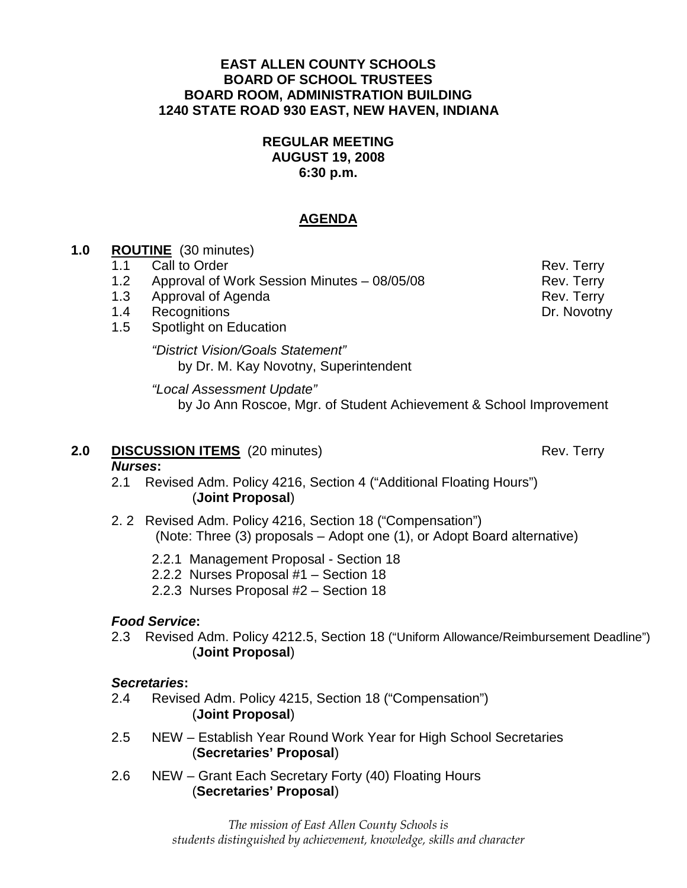#### **EAST ALLEN COUNTY SCHOOLS BOARD OF SCHOOL TRUSTEES BOARD ROOM, ADMINISTRATION BUILDING 1240 STATE ROAD 930 EAST, NEW HAVEN, INDIANA**

## **REGULAR MEETING AUGUST 19, 2008 6:30 p.m.**

### **AGENDA**

## **1.0 ROUTINE** (30 minutes)

- 1.1 Call to Order **Rev. Terry** Rev. Terry 1.2 Approval of Work Session Minutes – 08/05/08 Rev. Terry
- 1.3 Approval of Agenda **Rev. Terry**
- 1.4 Recognitions **Dr. Novotny**
- 1.5 Spotlight on Education

 "District Vision/Goals Statement" by Dr. M. Kay Novotny, Superintendent

#### "Local Assessment Update"

by Jo Ann Roscoe, Mgr. of Student Achievement & School Improvement

## **2.0 DISCUSSION ITEMS** (20 minutes) Rev. Terry

#### **Nurses:**

- 2.1 Revised Adm. Policy 4216, Section 4 ("Additional Floating Hours") (**Joint Proposal**)
- 2. 2 Revised Adm. Policy 4216, Section 18 ("Compensation") (Note: Three (3) proposals – Adopt one (1), or Adopt Board alternative)
	- 2.2.1 Management Proposal Section 18
	- 2.2.2 Nurses Proposal #1 Section 18
	- 2.2.3 Nurses Proposal #2 Section 18

## **Food Service:**

 2.3 Revised Adm. Policy 4212.5, Section 18 ("Uniform Allowance/Reimbursement Deadline") (**Joint Proposal**)

## **Secretaries:**

- 2.4 Revised Adm. Policy 4215, Section 18 ("Compensation") (**Joint Proposal**)
- 2.5 NEW Establish Year Round Work Year for High School Secretaries (**Secretaries' Proposal**)
- 2.6 NEW Grant Each Secretary Forty (40) Floating Hours (**Secretaries' Proposal**)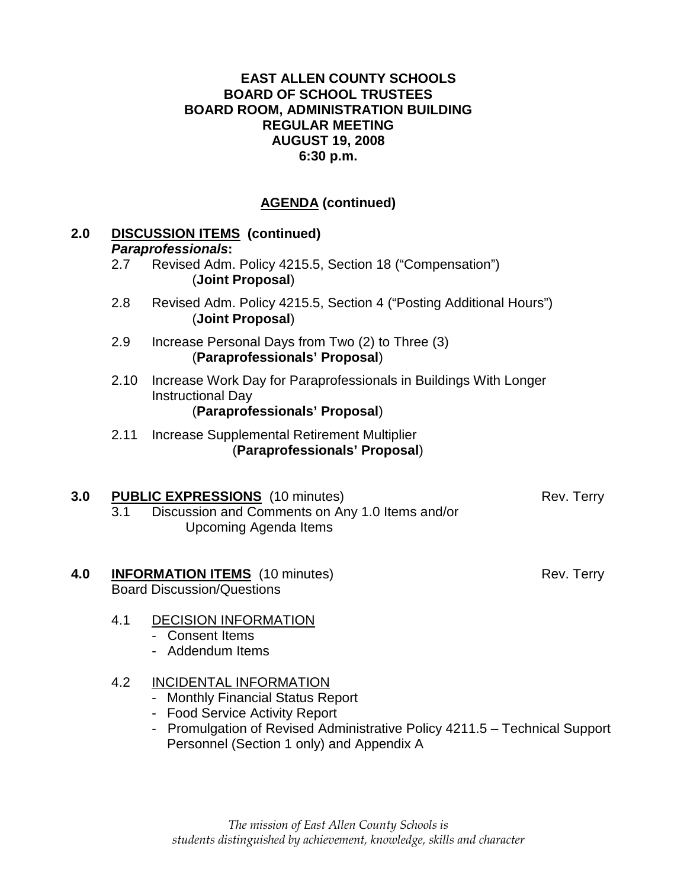# **AGENDA (continued)**

| 2.0 | <b>DISCUSSION ITEMS (continued)</b><br><b>Paraprofessionals:</b>                         |                                                                                                                               |            |
|-----|------------------------------------------------------------------------------------------|-------------------------------------------------------------------------------------------------------------------------------|------------|
|     | 2.7                                                                                      | Revised Adm. Policy 4215.5, Section 18 ("Compensation")<br>(Joint Proposal)                                                   |            |
|     | 2.8                                                                                      | Revised Adm. Policy 4215.5, Section 4 ("Posting Additional Hours")<br>(Joint Proposal)                                        |            |
|     | 2.9                                                                                      | Increase Personal Days from Two (2) to Three (3)<br>(Paraprofessionals' Proposal)                                             |            |
|     | 2.10                                                                                     | Increase Work Day for Paraprofessionals in Buildings With Longer<br><b>Instructional Day</b><br>(Paraprofessionals' Proposal) |            |
|     | 2.11                                                                                     | Increase Supplemental Retirement Multiplier<br>(Paraprofessionals' Proposal)                                                  |            |
| 3.0 | 3.1                                                                                      | <b>PUBLIC EXPRESSIONS</b> (10 minutes)<br>Discussion and Comments on Any 1.0 Items and/or<br><b>Upcoming Agenda Items</b>     | Rev. Terry |
| 4.0 | <b>INFORMATION ITEMS</b> (10 minutes)<br>Rev. Terry<br><b>Board Discussion/Questions</b> |                                                                                                                               |            |
|     | 4.1                                                                                      | <b>DECISION INFORMATION</b><br><b>Consent Items</b><br>- Addendum Items                                                       |            |
|     | 4.2                                                                                      | <b>INCIDENTAL INFORMATION</b><br>- Monthly Financial Status Report                                                            |            |

- Food Service Activity Report
- Promulgation of Revised Administrative Policy 4211.5 Technical Support Personnel (Section 1 only) and Appendix A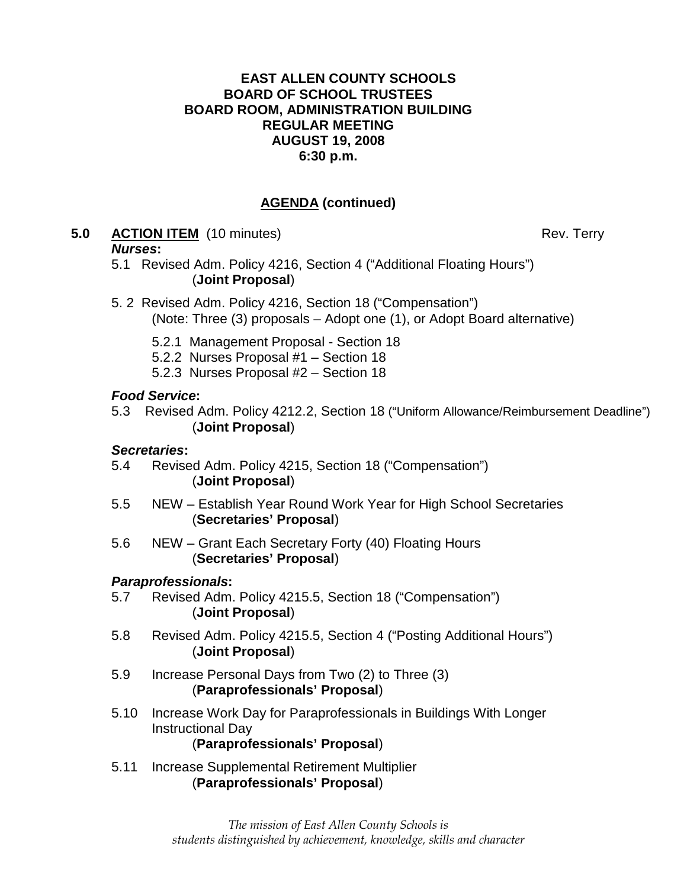## **AGENDA (continued)**

**5.0 ACTION ITEM** (10 minutes) Rev. Terry

#### **Nurses:**

- 5.1 Revised Adm. Policy 4216, Section 4 ("Additional Floating Hours") (**Joint Proposal**)
- 5. 2 Revised Adm. Policy 4216, Section 18 ("Compensation") (Note: Three (3) proposals – Adopt one (1), or Adopt Board alternative)
	- 5.2.1 Management Proposal Section 18
	- 5.2.2 Nurses Proposal #1 Section 18
	- 5.2.3 Nurses Proposal #2 Section 18

## **Food Service:**

 5.3 Revised Adm. Policy 4212.2, Section 18 ("Uniform Allowance/Reimbursement Deadline") (**Joint Proposal**)

## **Secretaries:**

- 5.4 Revised Adm. Policy 4215, Section 18 ("Compensation") (**Joint Proposal**)
- 5.5 NEW Establish Year Round Work Year for High School Secretaries (**Secretaries' Proposal**)
- 5.6 NEW Grant Each Secretary Forty (40) Floating Hours (**Secretaries' Proposal**)

## **Paraprofessionals:**

- 5.7 Revised Adm. Policy 4215.5, Section 18 ("Compensation") (**Joint Proposal**)
- 5.8 Revised Adm. Policy 4215.5, Section 4 ("Posting Additional Hours") (**Joint Proposal**)
- 5.9 Increase Personal Days from Two (2) to Three (3) (**Paraprofessionals' Proposal**)
- 5.10 Increase Work Day for Paraprofessionals in Buildings With Longer Instructional Day (**Paraprofessionals' Proposal**)
- 5.11 Increase Supplemental Retirement Multiplier (**Paraprofessionals' Proposal**)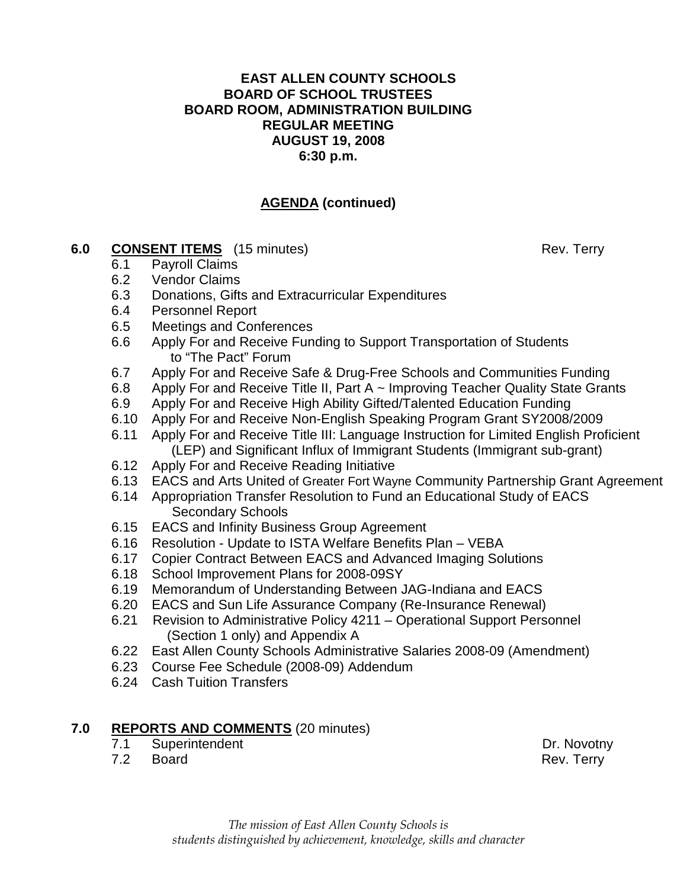# **AGENDA (continued)**

## **6.0 CONSENT ITEMS** (15 minutes) Rev. Terry

- 6.1 Payroll Claims
- 6.2 Vendor Claims
- 6.3 Donations, Gifts and Extracurricular Expenditures
- 6.4 Personnel Report
- 6.5 Meetings and Conferences
- 6.6 Apply For and Receive Funding to Support Transportation of Students to "The Pact" Forum
- 6.7 Apply For and Receive Safe & Drug-Free Schools and Communities Funding
- 6.8 Apply For and Receive Title II, Part A ~ Improving Teacher Quality State Grants
- 6.9 Apply For and Receive High Ability Gifted/Talented Education Funding
- 6.10 Apply For and Receive Non-English Speaking Program Grant SY2008/2009
- 6.11 Apply For and Receive Title III: Language Instruction for Limited English Proficient (LEP) and Significant Influx of Immigrant Students (Immigrant sub-grant)
- 6.12 Apply For and Receive Reading Initiative
- 6.13 EACS and Arts United of Greater Fort Wayne Community Partnership Grant Agreement
- 6.14 Appropriation Transfer Resolution to Fund an Educational Study of EACS Secondary Schools
- 6.15 EACS and Infinity Business Group Agreement
- 6.16 Resolution Update to ISTA Welfare Benefits Plan VEBA
- 6.17 Copier Contract Between EACS and Advanced Imaging Solutions
- 6.18 School Improvement Plans for 2008-09SY
- 6.19 Memorandum of Understanding Between JAG-Indiana and EACS
- 6.20 EACS and Sun Life Assurance Company (Re-Insurance Renewal)
- 6.21 Revision to Administrative Policy 4211 Operational Support Personnel (Section 1 only) and Appendix A
- 6.22 East Allen County Schools Administrative Salaries 2008-09 (Amendment)
- 6.23 Course Fee Schedule (2008-09) Addendum
- 6.24 Cash Tuition Transfers

## **7.0 REPORTS AND COMMENTS** (20 minutes)

- 7.1 Superintendent **Dr. Novotny**
- 7.2 Board Rev. Terry